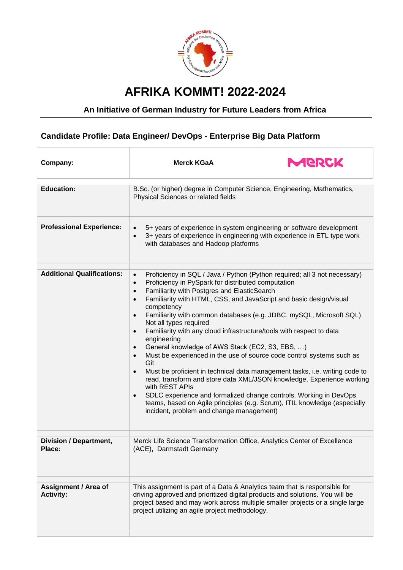

## **AFRIKA KOMMT! 2022-2024**

## **An Initiative of German Industry for Future Leaders from Africa**

## **Candidate Profile: Data Engineer/ DevOps - Enterprise Big Data Platform**

| <b>Merck KGaA</b>                                                                                                                                                                                                                                                                                                                                                                                                                                                                                                                                                                                                                                                                                                                                                                                                                                                                                                                                                                                                                                                                                        | MERCK |
|----------------------------------------------------------------------------------------------------------------------------------------------------------------------------------------------------------------------------------------------------------------------------------------------------------------------------------------------------------------------------------------------------------------------------------------------------------------------------------------------------------------------------------------------------------------------------------------------------------------------------------------------------------------------------------------------------------------------------------------------------------------------------------------------------------------------------------------------------------------------------------------------------------------------------------------------------------------------------------------------------------------------------------------------------------------------------------------------------------|-------|
| B.Sc. (or higher) degree in Computer Science, Engineering, Mathematics,<br>Physical Sciences or related fields                                                                                                                                                                                                                                                                                                                                                                                                                                                                                                                                                                                                                                                                                                                                                                                                                                                                                                                                                                                           |       |
| 5+ years of experience in system engineering or software development<br>$\bullet$<br>3+ years of experience in engineering with experience in ETL type work<br>$\bullet$<br>with databases and Hadoop platforms                                                                                                                                                                                                                                                                                                                                                                                                                                                                                                                                                                                                                                                                                                                                                                                                                                                                                          |       |
| Proficiency in SQL / Java / Python (Python required; all 3 not necessary)<br>$\bullet$<br>Proficiency in PySpark for distributed computation<br>$\bullet$<br>Familiarity with Postgres and ElasticSearch<br>$\bullet$<br>Familiarity with HTML, CSS, and JavaScript and basic design/visual<br>$\bullet$<br>competency<br>Familiarity with common databases (e.g. JDBC, mySQL, Microsoft SQL).<br>$\bullet$<br>Not all types required<br>Familiarity with any cloud infrastructure/tools with respect to data<br>$\bullet$<br>engineering<br>General knowledge of AWS Stack (EC2, S3, EBS, )<br>$\bullet$<br>Must be experienced in the use of source code control systems such as<br>$\bullet$<br>Git<br>Must be proficient in technical data management tasks, i.e. writing code to<br>$\bullet$<br>read, transform and store data XML/JSON knowledge. Experience working<br>with REST APIs<br>SDLC experience and formalized change controls. Working in DevOps<br>$\bullet$<br>teams, based on Agile principles (e.g. Scrum), ITIL knowledge (especially<br>incident, problem and change management) |       |
| Merck Life Science Transformation Office, Analytics Center of Excellence<br>(ACE), Darmstadt Germany                                                                                                                                                                                                                                                                                                                                                                                                                                                                                                                                                                                                                                                                                                                                                                                                                                                                                                                                                                                                     |       |
| This assignment is part of a Data & Analytics team that is responsible for<br>driving approved and prioritized digital products and solutions. You will be<br>project based and may work across multiple smaller projects or a single large<br>project utilizing an agile project methodology.                                                                                                                                                                                                                                                                                                                                                                                                                                                                                                                                                                                                                                                                                                                                                                                                           |       |
|                                                                                                                                                                                                                                                                                                                                                                                                                                                                                                                                                                                                                                                                                                                                                                                                                                                                                                                                                                                                                                                                                                          |       |